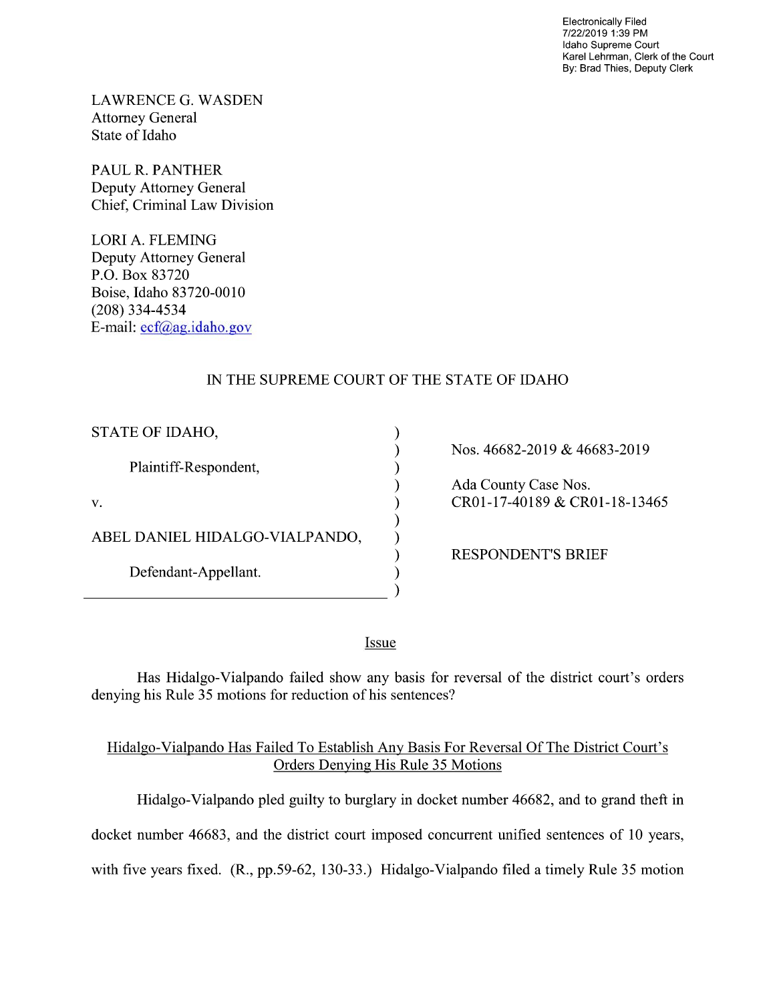Electronically Filed 7/22/2019 1:39 PM Idaho Supreme Court Karel Lehrman, Clerk of the Court By: Brad Thies, Deputy Clerk

LAWRENCE G. WASDEN Attorney General State of Idaho

PAUL R. PANTHER Deputy Attorney General Chief, Criminal Law Division

LORI A. FLEMING Deputy Attorney General P.O. Box 83720 Boise, Idaho 83720-0010 (208) 334—4534 E—mail: ecf@ag.idah0.gov

## IN THE SUPREME COURT OF THE STATE OF IDAHO

 $\mathcal{E}$  $\mathcal{E}$  $\lambda$  $\lambda$ 

| STATE OF IDAHO,                |
|--------------------------------|
| Plaintiff-Respondent,          |
| V.                             |
| ABEL DANIEL HIDALGO-VIALPANDO, |
| Defendant-Appellant.           |

Nos. 46682-2019 & 46683-2019

Ada County Case Nos. CR01-17-40189 & CR01-18-13465

RESPONDENT'S BRIEF

Issue

Has Hidalgo-Vialpando failed show any basis for reversal of the district court's orders denying his Rule 35 motions for reduction of his sentences?

#### Hidalgo-Vialpando Has Failed To Establish Any Basis For Reversal Of The District Court's Orders Denying His Rule 35 Motions

Hidalgo-Vialpando pled guilty to burglary in docket number 46682, and to grand theft in

docket number 46683, and the district court imposed concurrent unified sentences of 10 years,

with five years fixed.  $(R., pp.59-62, 130-33.)$  Hidalgo-Vialpando filed a timely Rule 35 motion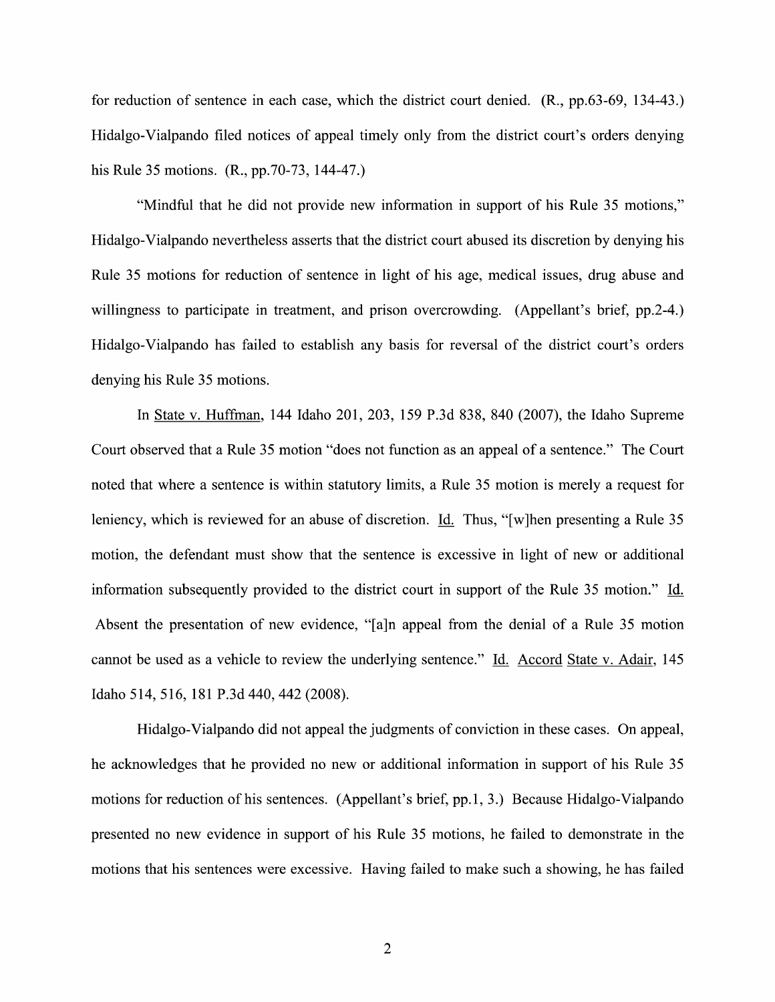for reduction 0f sentence in each case, which the district court denied. (R., pp.63-69, 134-43.) Hidalgo-Vialpando filed notices of appeal timely only from the district court's orders denying his Rule 35 motions. (R., pp.70-73, 144-47.)

"Mindful that he did not provide new information in support of his Rule 35 motions," Hidalgo-Vialpando nevertheless asserts that the district court abused its discretion by denying his Rule 35 motions for reduction 0f sentence in light of his age, medical issues, drug abuse and willingness to participate in treatment, and prison overcrowding. (Appellant's brief, pp.2-4.) Hidalgo-Vialpando has failed to establish any basis for reversal of the district court's orders denying his Rule 35 motions.

In State V. Huffman, 144 Idaho 201, 203, 159 P.3d 838, 840 (2007), the Idaho Supreme Court observed that a Rule 35 motion "does not function as an appeal of a sentence." The Court noted that where a sentence is within statutory limits, a Rule 35 motion is merely a request for leniency, which is reviewed for an abuse of discretion. Id. Thus, "[w]hen presenting a Rule 35 motion, the defendant must show that the sentence is excessive in light of new or additional information subsequently provided to the district court in support of the Rule 35 motion." Id. Absent the presentation of new evidence, "[a]n appeal from the denial of a Rule 35 motion cannot be used as a vehicle to review the underlying sentence." Id. Accord State v. Adair, 145 Idaho 514, 516, 181 P.3d 440, 442 (2008).

Hidalgo-Vialpando did not appeal the judgments of conviction in these cases. On appeal, he acknowledges that he provided no new or additional information in support of his Rule 35 motions for reduction of his sentences. (Appellant's brief, pp.1, 3.) Because Hidalgo-Vialpando presented no new evidence in support of his Rule 35 motions, he failed to demonstrate in the motions that his sentences were excessive. Having failed to make such a showing, he has failed